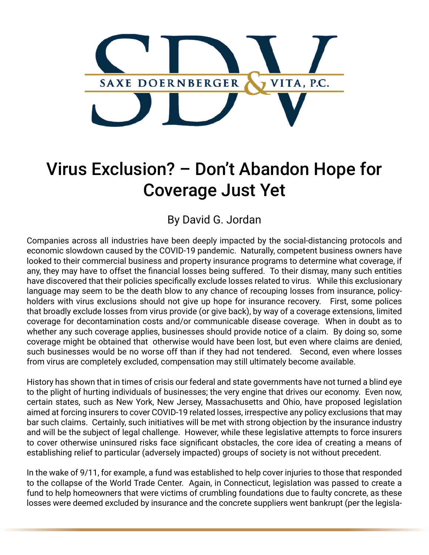

## Virus Exclusion? – Don't Abandon Hope for Coverage Just Yet

By David G. Jordan

Companies across all industries have been deeply impacted by the social-distancing protocols and economic slowdown caused by the COVID-19 pandemic. Naturally, competent business owners have looked to their commercial business and property insurance programs to determine what coverage, if any, they may have to offset the financial losses being suffered. To their dismay, many such entities have discovered that their policies specifically exclude losses related to virus. While this exclusionary language may seem to be the death blow to any chance of recouping losses from insurance, policyholders with virus exclusions should not give up hope for insurance recovery. First, some polices that broadly exclude losses from virus provide (or give back), by way of a coverage extensions, limited coverage for decontamination costs and/or communicable disease coverage. When in doubt as to whether any such coverage applies, businesses should provide notice of a claim. By doing so, some coverage might be obtained that otherwise would have been lost, but even where claims are denied, such businesses would be no worse off than if they had not tendered. Second, even where losses from virus are completely excluded, compensation may still ultimately become available.

History has shown that in times of crisis our federal and state governments have not turned a blind eye to the plight of hurting individuals of businesses; the very engine that drives our economy. Even now, certain states, such as New York, New Jersey, Massachusetts and Ohio, have proposed legislation aimed at forcing insurers to cover COVID-19 related losses, irrespective any policy exclusions that may bar such claims. Certainly, such initiatives will be met with strong objection by the insurance industry and will be the subject of legal challenge. However, while these legislative attempts to force insurers to cover otherwise uninsured risks face significant obstacles, the core idea of creating a means of establishing relief to particular (adversely impacted) groups of society is not without precedent.

In the wake of 9/11, for example, a fund was established to help cover injuries to those that responded to the collapse of the World Trade Center. Again, in Connecticut, legislation was passed to create a fund to help homeowners that were victims of crumbling foundations due to faulty concrete, as these losses were deemed excluded by insurance and the concrete suppliers went bankrupt (per the legisla